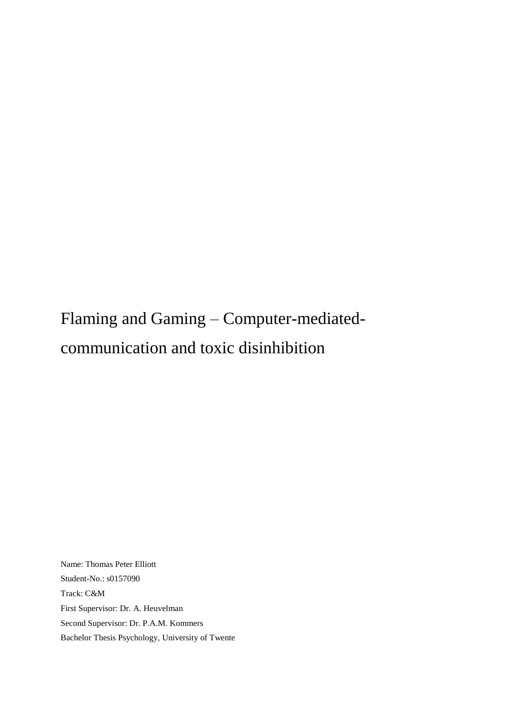# Flaming and Gaming – Computer-mediatedcommunication and toxic disinhibition

Name: Thomas Peter Elliott Student-No.: s0157090 Track: C&M First Supervisor: Dr. A. Heuvelman Second Supervisor: Dr. P.A.M. Kommers Bachelor Thesis Psychology, University of Twente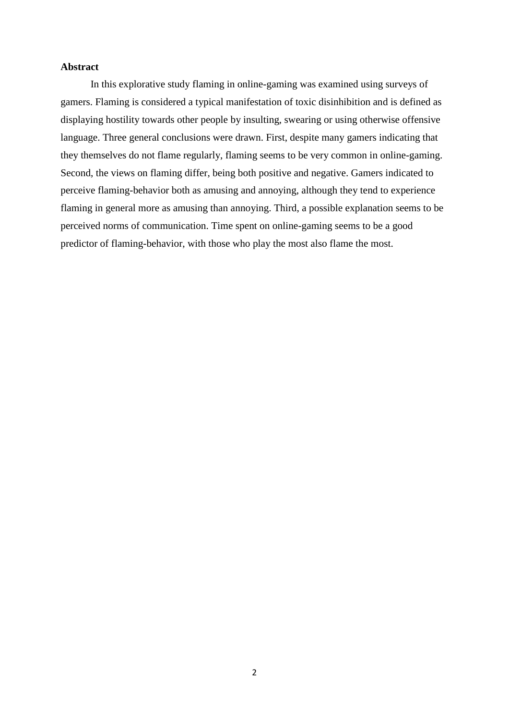## **Abstract**

In this explorative study flaming in online-gaming was examined using surveys of gamers. Flaming is considered a typical manifestation of toxic disinhibition and is defined as displaying hostility towards other people by insulting, swearing or using otherwise offensive language. Three general conclusions were drawn. First, despite many gamers indicating that they themselves do not flame regularly, flaming seems to be very common in online-gaming. Second, the views on flaming differ, being both positive and negative. Gamers indicated to perceive flaming-behavior both as amusing and annoying, although they tend to experience flaming in general more as amusing than annoying. Third, a possible explanation seems to be perceived norms of communication. Time spent on online-gaming seems to be a good predictor of flaming-behavior, with those who play the most also flame the most.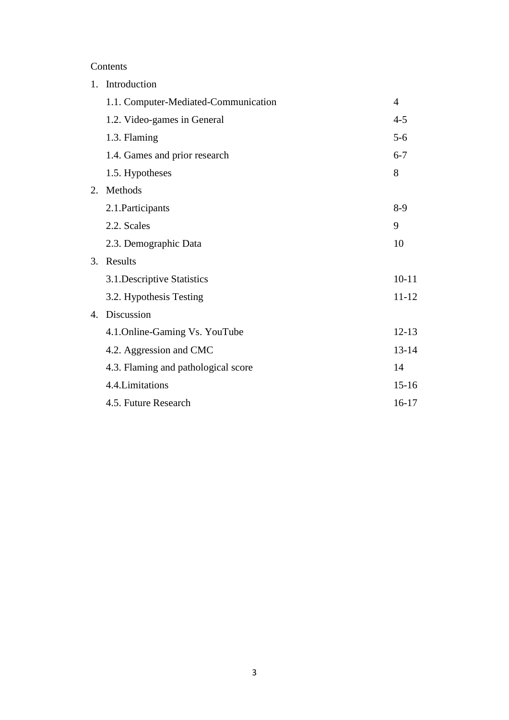## Contents

| 1. | Introduction                         |                |  |  |
|----|--------------------------------------|----------------|--|--|
|    | 1.1. Computer-Mediated-Communication | $\overline{4}$ |  |  |
|    | 1.2. Video-games in General          | $4 - 5$        |  |  |
|    | 1.3. Flaming                         | $5-6$          |  |  |
|    | 1.4. Games and prior research        | $6 - 7$        |  |  |
|    | 1.5. Hypotheses                      | 8              |  |  |
| 2. | Methods                              |                |  |  |
|    | 2.1. Participants                    | $8-9$          |  |  |
|    | 2.2. Scales                          | 9              |  |  |
|    | 2.3. Demographic Data                | 10             |  |  |
|    | 3. Results                           |                |  |  |
|    | 3.1. Descriptive Statistics          | $10 - 11$      |  |  |
|    | 3.2. Hypothesis Testing              | $11 - 12$      |  |  |
| 4. | Discussion                           |                |  |  |
|    | 4.1. Online-Gaming Vs. YouTube       | $12 - 13$      |  |  |
|    | 4.2. Aggression and CMC              | $13 - 14$      |  |  |
|    | 4.3. Flaming and pathological score  | 14             |  |  |
|    | 4.4. Limitations                     | $15 - 16$      |  |  |
|    | 4.5. Future Research                 | $16-17$        |  |  |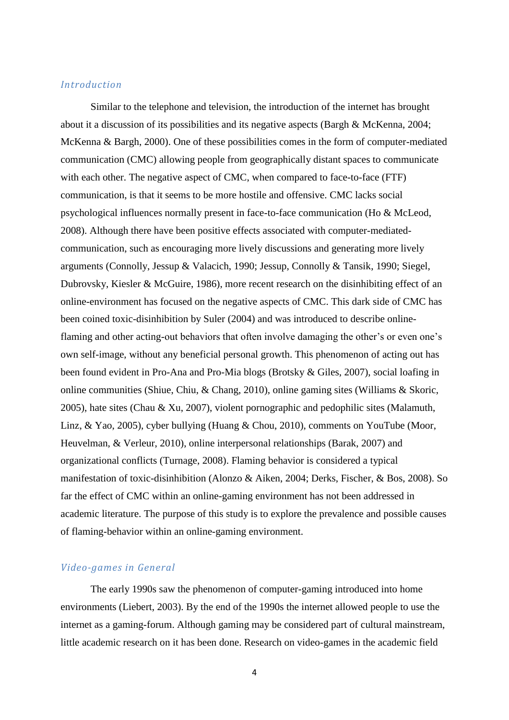## *Introduction*

Similar to the telephone and television, the introduction of the internet has brought about it a discussion of its possibilities and its negative aspects (Bargh & McKenna, 2004; McKenna & Bargh, 2000). One of these possibilities comes in the form of computer-mediated communication (CMC) allowing people from geographically distant spaces to communicate with each other. The negative aspect of CMC, when compared to face-to-face (FTF) communication, is that it seems to be more hostile and offensive. CMC lacks social psychological influences normally present in face-to-face communication (Ho & McLeod, 2008). Although there have been positive effects associated with computer-mediatedcommunication, such as encouraging more lively discussions and generating more lively arguments (Connolly, Jessup & Valacich, 1990; Jessup, Connolly & Tansik, 1990; Siegel, Dubrovsky, Kiesler & McGuire, 1986), more recent research on the disinhibiting effect of an online-environment has focused on the negative aspects of CMC. This dark side of CMC has been coined toxic-disinhibition by Suler (2004) and was introduced to describe onlineflaming and other acting-out behaviors that often involve damaging the other's or even one's own self-image, without any beneficial personal growth. This phenomenon of acting out has been found evident in Pro-Ana and Pro-Mia blogs (Brotsky & Giles, 2007), social loafing in online communities (Shiue, Chiu, & Chang, 2010), online gaming sites (Williams & Skoric, 2005), hate sites (Chau & Xu, 2007), violent pornographic and pedophilic sites (Malamuth, Linz, & Yao, 2005), cyber bullying (Huang & Chou, 2010), comments on YouTube (Moor, Heuvelman, & Verleur, 2010), online interpersonal relationships (Barak, 2007) and organizational conflicts (Turnage, 2008). Flaming behavior is considered a typical manifestation of toxic-disinhibition (Alonzo & Aiken, 2004; Derks, Fischer, & Bos, 2008). So far the effect of CMC within an online-gaming environment has not been addressed in academic literature. The purpose of this study is to explore the prevalence and possible causes of flaming-behavior within an online-gaming environment.

## *Video-games in General*

The early 1990s saw the phenomenon of computer-gaming introduced into home environments (Liebert, 2003). By the end of the 1990s the internet allowed people to use the internet as a gaming-forum. Although gaming may be considered part of cultural mainstream, little academic research on it has been done. Research on video-games in the academic field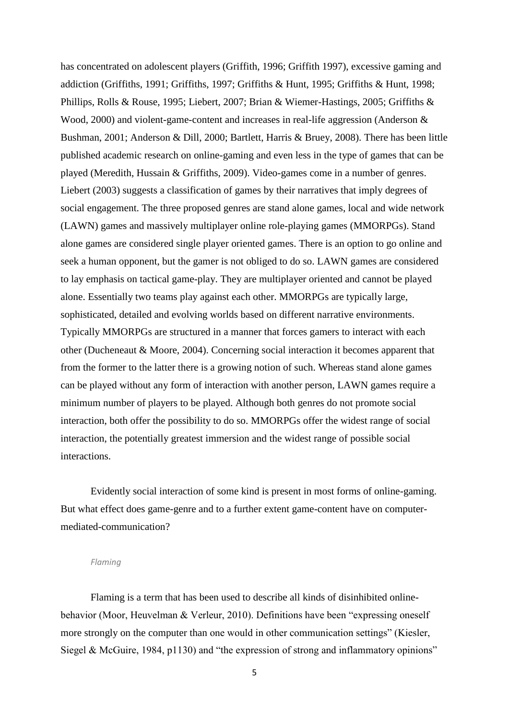has concentrated on adolescent players (Griffith, 1996; Griffith 1997), excessive gaming and addiction (Griffiths, 1991; Griffiths, 1997; Griffiths & Hunt, 1995; Griffiths & Hunt, 1998; Phillips, Rolls & Rouse, 1995; Liebert, 2007; Brian & Wiemer-Hastings, 2005; Griffiths & Wood, 2000) and violent-game-content and increases in real-life aggression (Anderson & Bushman, 2001; Anderson & Dill, 2000; Bartlett, Harris & Bruey, 2008). There has been little published academic research on online-gaming and even less in the type of games that can be played (Meredith, Hussain & Griffiths, 2009). Video-games come in a number of genres. Liebert (2003) suggests a classification of games by their narratives that imply degrees of social engagement. The three proposed genres are stand alone games, local and wide network (LAWN) games and massively multiplayer online role-playing games (MMORPGs). Stand alone games are considered single player oriented games. There is an option to go online and seek a human opponent, but the gamer is not obliged to do so. LAWN games are considered to lay emphasis on tactical game-play. They are multiplayer oriented and cannot be played alone. Essentially two teams play against each other. MMORPGs are typically large, sophisticated, detailed and evolving worlds based on different narrative environments. Typically MMORPGs are structured in a manner that forces gamers to interact with each other (Ducheneaut & Moore, 2004). Concerning social interaction it becomes apparent that from the former to the latter there is a growing notion of such. Whereas stand alone games can be played without any form of interaction with another person, LAWN games require a minimum number of players to be played. Although both genres do not promote social interaction, both offer the possibility to do so. MMORPGs offer the widest range of social interaction, the potentially greatest immersion and the widest range of possible social interactions.

Evidently social interaction of some kind is present in most forms of online-gaming. But what effect does game-genre and to a further extent game-content have on computermediated-communication?

#### *Flaming*

Flaming is a term that has been used to describe all kinds of disinhibited onlinebehavior (Moor, Heuvelman & Verleur, 2010). Definitions have been "expressing oneself more strongly on the computer than one would in other communication settings" (Kiesler, Siegel & McGuire, 1984, p1130) and "the expression of strong and inflammatory opinions"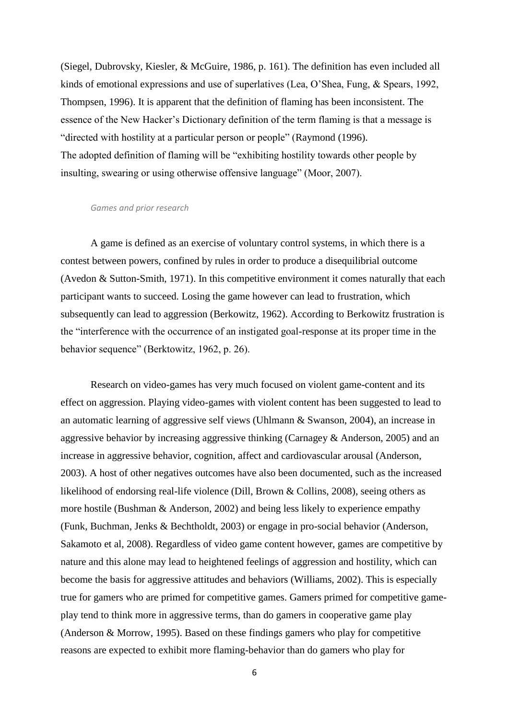(Siegel, Dubrovsky, Kiesler, & McGuire, 1986, p. 161). The definition has even included all kinds of emotional expressions and use of superlatives (Lea, O'Shea, Fung, & Spears, 1992, Thompsen, 1996). It is apparent that the definition of flaming has been inconsistent. The essence of the New Hacker's Dictionary definition of the term flaming is that a message is "directed with hostility at a particular person or people" (Raymond (1996). The adopted definition of flaming will be "exhibiting hostility towards other people by insulting, swearing or using otherwise offensive language" (Moor, 2007).

#### *Games and prior research*

A game is defined as an exercise of voluntary control systems, in which there is a contest between powers, confined by rules in order to produce a disequilibrial outcome (Avedon & Sutton-Smith, 1971). In this competitive environment it comes naturally that each participant wants to succeed. Losing the game however can lead to frustration, which subsequently can lead to aggression (Berkowitz, 1962). According to Berkowitz frustration is the "interference with the occurrence of an instigated goal-response at its proper time in the behavior sequence" (Berktowitz, 1962, p. 26).

Research on video-games has very much focused on violent game-content and its effect on aggression. Playing video-games with violent content has been suggested to lead to an automatic learning of aggressive self views (Uhlmann & Swanson, 2004), an increase in aggressive behavior by increasing aggressive thinking (Carnagey & Anderson, 2005) and an increase in aggressive behavior, cognition, affect and cardiovascular arousal (Anderson, 2003). A host of other negatives outcomes have also been documented, such as the increased likelihood of endorsing real-life violence (Dill, Brown & Collins, 2008), seeing others as more hostile (Bushman & Anderson, 2002) and being less likely to experience empathy (Funk, Buchman, Jenks & Bechtholdt, 2003) or engage in pro-social behavior (Anderson, Sakamoto et al, 2008). Regardless of video game content however, games are competitive by nature and this alone may lead to heightened feelings of aggression and hostility, which can become the basis for aggressive attitudes and behaviors (Williams, 2002). This is especially true for gamers who are primed for competitive games. Gamers primed for competitive gameplay tend to think more in aggressive terms, than do gamers in cooperative game play (Anderson & Morrow, 1995). Based on these findings gamers who play for competitive reasons are expected to exhibit more flaming-behavior than do gamers who play for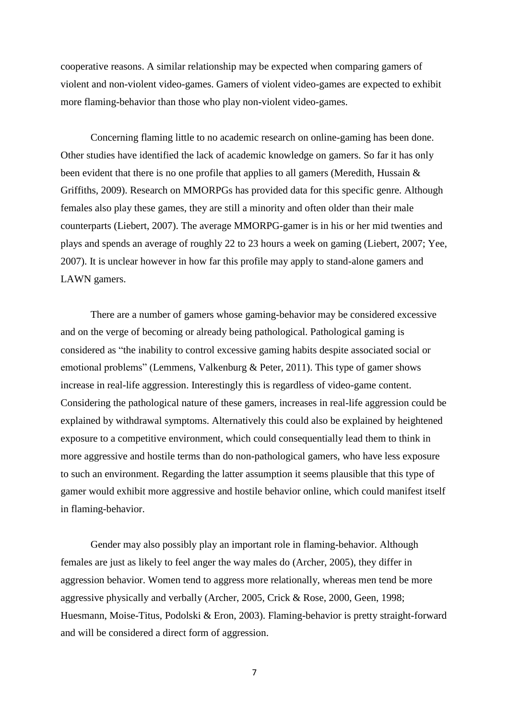cooperative reasons. A similar relationship may be expected when comparing gamers of violent and non-violent video-games. Gamers of violent video-games are expected to exhibit more flaming-behavior than those who play non-violent video-games.

Concerning flaming little to no academic research on online-gaming has been done. Other studies have identified the lack of academic knowledge on gamers. So far it has only been evident that there is no one profile that applies to all gamers (Meredith, Hussain & Griffiths, 2009). Research on MMORPGs has provided data for this specific genre. Although females also play these games, they are still a minority and often older than their male counterparts (Liebert, 2007). The average MMORPG-gamer is in his or her mid twenties and plays and spends an average of roughly 22 to 23 hours a week on gaming (Liebert, 2007; Yee, 2007). It is unclear however in how far this profile may apply to stand-alone gamers and LAWN gamers.

There are a number of gamers whose gaming-behavior may be considered excessive and on the verge of becoming or already being pathological. Pathological gaming is considered as "the inability to control excessive gaming habits despite associated social or emotional problems" (Lemmens, Valkenburg & Peter, 2011). This type of gamer shows increase in real-life aggression. Interestingly this is regardless of video-game content. Considering the pathological nature of these gamers, increases in real-life aggression could be explained by withdrawal symptoms. Alternatively this could also be explained by heightened exposure to a competitive environment, which could consequentially lead them to think in more aggressive and hostile terms than do non-pathological gamers, who have less exposure to such an environment. Regarding the latter assumption it seems plausible that this type of gamer would exhibit more aggressive and hostile behavior online, which could manifest itself in flaming-behavior.

Gender may also possibly play an important role in flaming-behavior. Although females are just as likely to feel anger the way males do (Archer, 2005), they differ in aggression behavior. Women tend to aggress more relationally, whereas men tend be more aggressive physically and verbally (Archer, 2005, Crick & Rose, 2000, Geen, 1998; Huesmann, Moise-Titus, Podolski & Eron, 2003). Flaming-behavior is pretty straight-forward and will be considered a direct form of aggression.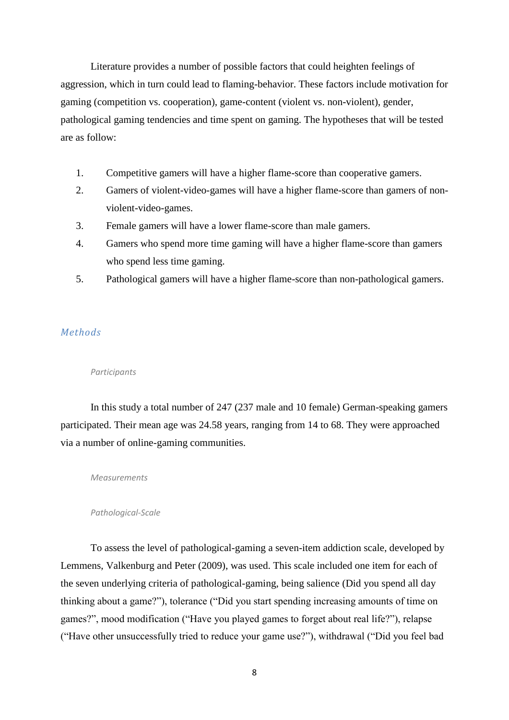Literature provides a number of possible factors that could heighten feelings of aggression, which in turn could lead to flaming-behavior. These factors include motivation for gaming (competition vs. cooperation), game-content (violent vs. non-violent), gender, pathological gaming tendencies and time spent on gaming. The hypotheses that will be tested are as follow:

- 1. Competitive gamers will have a higher flame-score than cooperative gamers.
- 2. Gamers of violent-video-games will have a higher flame-score than gamers of nonviolent-video-games.
- 3. Female gamers will have a lower flame-score than male gamers.
- 4. Gamers who spend more time gaming will have a higher flame-score than gamers who spend less time gaming.
- 5. Pathological gamers will have a higher flame-score than non-pathological gamers.

## *Methods*

### *Participants*

In this study a total number of 247 (237 male and 10 female) German-speaking gamers participated. Their mean age was 24.58 years, ranging from 14 to 68. They were approached via a number of online-gaming communities.

*Measurements*

## *Pathological-Scale*

To assess the level of pathological-gaming a seven-item addiction scale, developed by Lemmens, Valkenburg and Peter (2009), was used. This scale included one item for each of the seven underlying criteria of pathological-gaming, being salience (Did you spend all day thinking about a game?"), tolerance ("Did you start spending increasing amounts of time on games?", mood modification ("Have you played games to forget about real life?"), relapse ("Have other unsuccessfully tried to reduce your game use?"), withdrawal ("Did you feel bad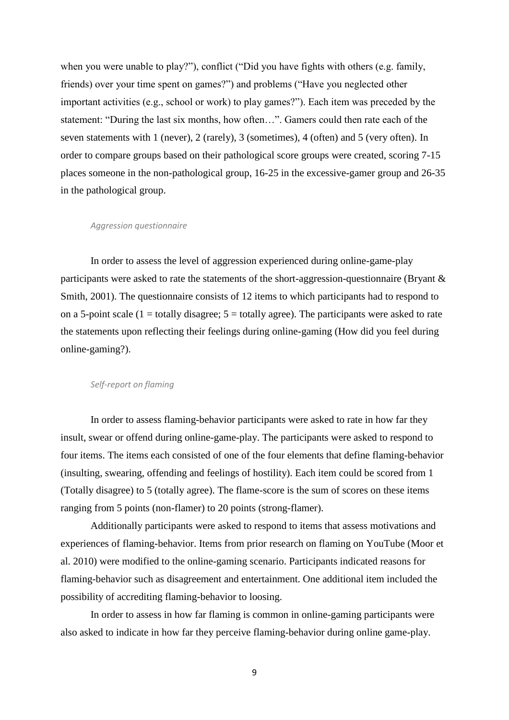when you were unable to play?"), conflict ("Did you have fights with others (e.g. family, friends) over your time spent on games?") and problems ("Have you neglected other important activities (e.g., school or work) to play games?"). Each item was preceded by the statement: "During the last six months, how often…". Gamers could then rate each of the seven statements with 1 (never), 2 (rarely), 3 (sometimes), 4 (often) and 5 (very often). In order to compare groups based on their pathological score groups were created, scoring 7-15 places someone in the non-pathological group, 16-25 in the excessive-gamer group and 26-35 in the pathological group.

#### *Aggression questionnaire*

In order to assess the level of aggression experienced during online-game-play participants were asked to rate the statements of the short-aggression-questionnaire (Bryant & Smith, 2001). The questionnaire consists of 12 items to which participants had to respond to on a 5-point scale  $(1 = totally disagree; 5 = totally agree)$ . The participants were asked to rate the statements upon reflecting their feelings during online-gaming (How did you feel during online-gaming?).

## *Self-report on flaming*

In order to assess flaming-behavior participants were asked to rate in how far they insult, swear or offend during online-game-play. The participants were asked to respond to four items. The items each consisted of one of the four elements that define flaming-behavior (insulting, swearing, offending and feelings of hostility). Each item could be scored from 1 (Totally disagree) to 5 (totally agree). The flame-score is the sum of scores on these items ranging from 5 points (non-flamer) to 20 points (strong-flamer).

Additionally participants were asked to respond to items that assess motivations and experiences of flaming-behavior. Items from prior research on flaming on YouTube (Moor et al. 2010) were modified to the online-gaming scenario. Participants indicated reasons for flaming-behavior such as disagreement and entertainment. One additional item included the possibility of accrediting flaming-behavior to loosing.

In order to assess in how far flaming is common in online-gaming participants were also asked to indicate in how far they perceive flaming-behavior during online game-play.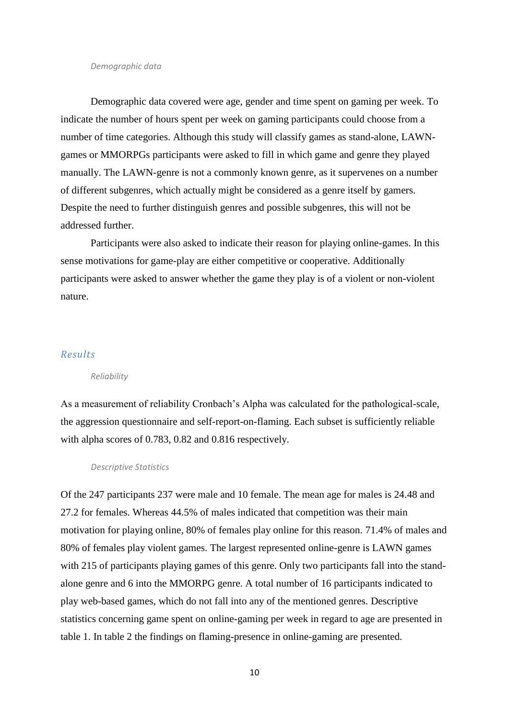#### *Demographic data*

Demographic data covered were age, gender and time spent on gaming per week. To indicate the number of hours spent per week on gaming participants could choose from a number of time categories. Although this study will classify games as stand-alone, LAWNgames or MMORPGs participants were asked to fill in which game and genre they played manually. The LAWN-genre is not a commonly known genre, as it supervenes on a number of different subgenres, which actually might be considered as a genre itself by gamers. Despite the need to further distinguish genres and possible subgenres, this will not be addressed further.

Participants were also asked to indicate their reason for playing online-games. In this sense motivations for game-play are either competitive or cooperative. Additionally participants were asked to answer whether the game they play is of a violent or non-violent nature.

## *Results*

#### *Reliability*

As a measurement of reliability Cronbach's Alpha was calculated for the pathological-scale, the aggression questionnaire and self-report-on-flaming. Each subset is sufficiently reliable with alpha scores of 0.783, 0.82 and 0.816 respectively.

*Descriptive Statistics*

Of the 247 participants 237 were male and 10 female. The mean age for males is 24.48 and 27.2 for females. Whereas 44.5% of males indicated that competition was their main motivation for playing online, 80% of females play online for this reason. 71.4% of males and 80% of females play violent games. The largest represented online-genre is LAWN games with 215 of participants playing games of this genre. Only two participants fall into the standalone genre and 6 into the MMORPG genre. A total number of 16 participants indicated to play web-based games, which do not fall into any of the mentioned genres. Descriptive statistics concerning game spent on online-gaming per week in regard to age are presented in table 1. In table 2 the findings on flaming-presence in online-gaming are presented.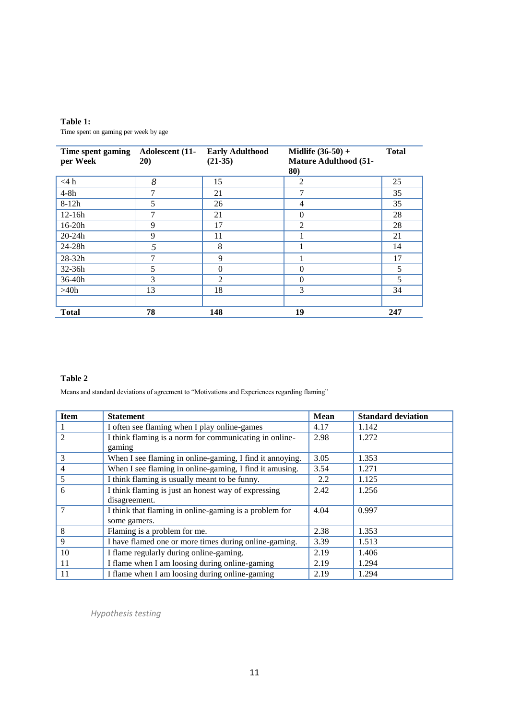| Table 1:                             |
|--------------------------------------|
| Time spent on gaming per week by age |

| Time spent gaming<br>per Week | Adolescent (11-<br><b>20</b> ) | <b>Early Adulthood</b><br>$(21-35)$ | <b>Midlife</b> $(36-50) +$<br><b>Mature Adulthood (51-</b><br>80) | <b>Total</b> |
|-------------------------------|--------------------------------|-------------------------------------|-------------------------------------------------------------------|--------------|
| $<$ 4 h                       | 8                              | 15                                  | 2                                                                 | 25           |
| $4-8h$                        | 7                              | 21                                  | 7                                                                 | 35           |
| $8-12h$                       | 5                              | 26                                  | 4                                                                 | 35           |
| $12-16h$                      | 7                              | 21                                  | $\theta$                                                          | 28           |
| $16-20h$                      | 9                              | 17                                  | 2                                                                 | 28           |
| $20 - 24h$                    | 9                              | 11                                  |                                                                   | 21           |
| $24 - 28h$                    | 5                              | 8                                   |                                                                   | 14           |
| $28 - 32h$                    | 7                              | 9                                   |                                                                   | 17           |
| $32-36h$                      | 5                              | $\theta$                            | $\theta$                                                          | 5            |
| $36-40h$                      | 3                              | 2                                   | $\Omega$                                                          | 5            |
| >40h                          | 13                             | 18                                  | 3                                                                 | 34           |
|                               |                                |                                     |                                                                   |              |
| <b>Total</b>                  | 78                             | 148                                 | 19                                                                | 247          |

### **Table 2**

Means and standard deviations of agreement to "Motivations and Experiences regarding flaming"

| <b>Item</b>    | <b>Statement</b>                                                       | <b>Mean</b> | <b>Standard deviation</b> |
|----------------|------------------------------------------------------------------------|-------------|---------------------------|
|                | I often see flaming when I play online-games                           | 4.17        | 1.142                     |
| $\overline{c}$ | I think flaming is a norm for communicating in online-<br>gaming       | 2.98        | 1.272                     |
| 3              | When I see flaming in online-gaming, I find it annoying.               | 3.05        | 1.353                     |
| $\overline{4}$ | When I see flaming in online-gaming, I find it amusing.                | 3.54        | 1.271                     |
| 5              | I think flaming is usually meant to be funny.                          | 2.2         | 1.125                     |
| 6              | I think flaming is just an honest way of expressing<br>disagreement.   | 2.42        | 1.256                     |
|                | I think that flaming in online-gaming is a problem for<br>some gamers. | 4.04        | 0.997                     |
| 8              | Flaming is a problem for me.                                           | 2.38        | 1.353                     |
| 9              | I have flamed one or more times during online-gaming.                  | 3.39        | 1.513                     |
| 10             | I flame regularly during online-gaming.                                | 2.19        | 1.406                     |
| 11             | I flame when I am loosing during online-gaming                         | 2.19        | 1.294                     |
| 11             | I flame when I am loosing during online-gaming                         | 2.19        | 1.294                     |

*Hypothesis testing*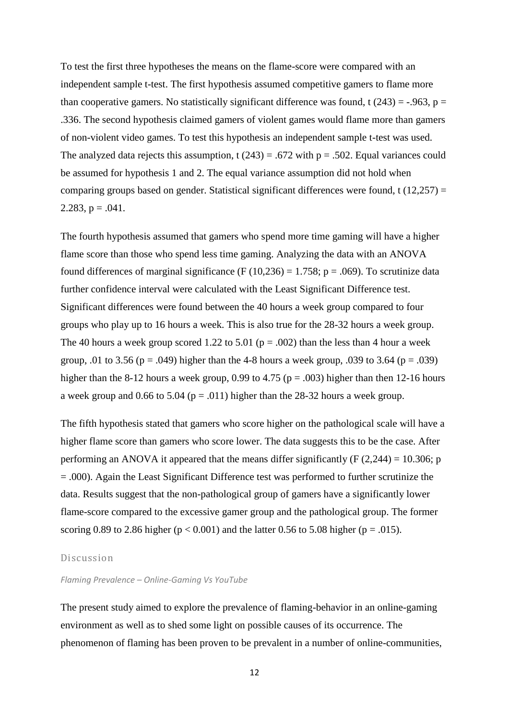To test the first three hypotheses the means on the flame-score were compared with an independent sample t-test. The first hypothesis assumed competitive gamers to flame more than cooperative gamers. No statistically significant difference was found, t  $(243) = -0.963$ , p = .336. The second hypothesis claimed gamers of violent games would flame more than gamers of non-violent video games. To test this hypothesis an independent sample t-test was used. The analyzed data rejects this assumption,  $t(243) = .672$  with  $p = .502$ . Equal variances could be assumed for hypothesis 1 and 2. The equal variance assumption did not hold when comparing groups based on gender. Statistical significant differences were found, t (12,257) = 2.283,  $p = .041$ .

The fourth hypothesis assumed that gamers who spend more time gaming will have a higher flame score than those who spend less time gaming. Analyzing the data with an ANOVA found differences of marginal significance (F (10,236) = 1.758; p = .069). To scrutinize data further confidence interval were calculated with the Least Significant Difference test. Significant differences were found between the 40 hours a week group compared to four groups who play up to 16 hours a week. This is also true for the 28-32 hours a week group. The 40 hours a week group scored 1.22 to 5.01 ( $p = .002$ ) than the less than 4 hour a week group, .01 to 3.56 ( $p = .049$ ) higher than the 4-8 hours a week group, .039 to 3.64 ( $p = .039$ ) higher than the 8-12 hours a week group, 0.99 to 4.75 ( $p = .003$ ) higher than then 12-16 hours a week group and 0.66 to 5.04 ( $p = .011$ ) higher than the 28-32 hours a week group.

The fifth hypothesis stated that gamers who score higher on the pathological scale will have a higher flame score than gamers who score lower. The data suggests this to be the case. After performing an ANOVA it appeared that the means differ significantly (F  $(2,244) = 10.306$ ; p = .000). Again the Least Significant Difference test was performed to further scrutinize the data. Results suggest that the non-pathological group of gamers have a significantly lower flame-score compared to the excessive gamer group and the pathological group. The former scoring 0.89 to 2.86 higher ( $p < 0.001$ ) and the latter 0.56 to 5.08 higher ( $p = .015$ ).

#### Discussion

## *Flaming Prevalence – Online-Gaming Vs YouTube*

The present study aimed to explore the prevalence of flaming-behavior in an online-gaming environment as well as to shed some light on possible causes of its occurrence. The phenomenon of flaming has been proven to be prevalent in a number of online-communities,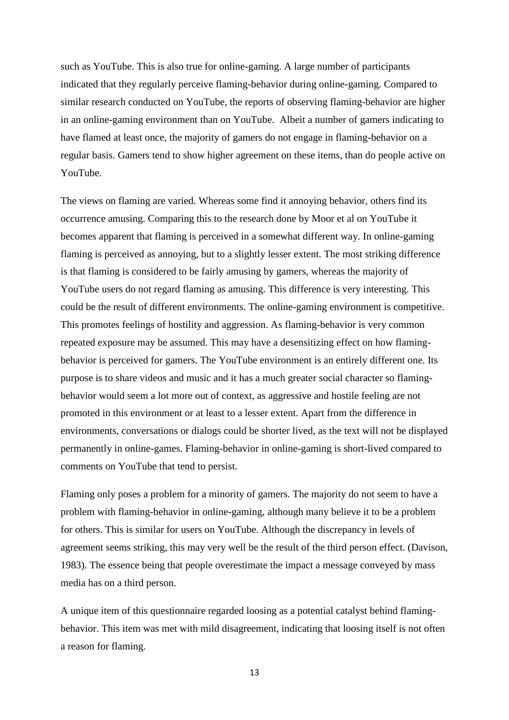such as YouTube. This is also true for online-gaming. A large number of participants indicated that they regularly perceive flaming-behavior during online-gaming. Compared to similar research conducted on YouTube, the reports of observing flaming-behavior are higher in an online-gaming environment than on YouTube. Albeit a number of gamers indicating to have flamed at least once, the majority of gamers do not engage in flaming-behavior on a regular basis. Gamers tend to show higher agreement on these items, than do people active on YouTube.

The views on flaming are varied. Whereas some find it annoying behavior, others find its occurrence amusing. Comparing this to the research done by Moor et al on YouTube it becomes apparent that flaming is perceived in a somewhat different way. In online-gaming flaming is perceived as annoying, but to a slightly lesser extent. The most striking difference is that flaming is considered to be fairly amusing by gamers, whereas the majority of YouTube users do not regard flaming as amusing. This difference is very interesting. This could be the result of different environments. The online-gaming environment is competitive. This promotes feelings of hostility and aggression. As flaming-behavior is very common repeated exposure may be assumed. This may have a desensitizing effect on how flamingbehavior is perceived for gamers. The YouTube environment is an entirely different one. Its purpose is to share videos and music and it has a much greater social character so flamingbehavior would seem a lot more out of context, as aggressive and hostile feeling are not promoted in this environment or at least to a lesser extent. Apart from the difference in environments, conversations or dialogs could be shorter lived, as the text will not be displayed permanently in online-games. Flaming-behavior in online-gaming is short-lived compared to comments on YouTube that tend to persist.

Flaming only poses a problem for a minority of gamers. The majority do not seem to have a problem with flaming-behavior in online-gaming, although many believe it to be a problem for others. This is similar for users on YouTube. Although the discrepancy in levels of agreement seems striking, this may very well be the result of the third person effect. (Davison, 1983). The essence being that people overestimate the impact a message conveyed by mass media has on a third person.

A unique item of this questionnaire regarded loosing as a potential catalyst behind flamingbehavior. This item was met with mild disagreement, indicating that loosing itself is not often a reason for flaming.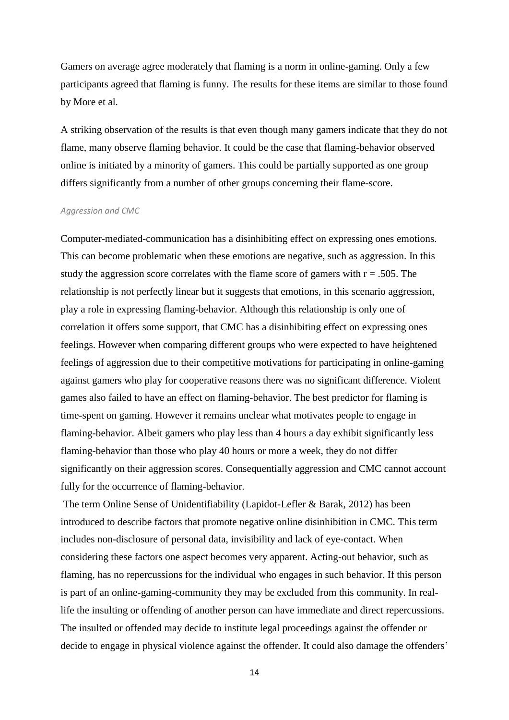Gamers on average agree moderately that flaming is a norm in online-gaming. Only a few participants agreed that flaming is funny. The results for these items are similar to those found by More et al.

A striking observation of the results is that even though many gamers indicate that they do not flame, many observe flaming behavior. It could be the case that flaming-behavior observed online is initiated by a minority of gamers. This could be partially supported as one group differs significantly from a number of other groups concerning their flame-score.

### *Aggression and CMC*

Computer-mediated-communication has a disinhibiting effect on expressing ones emotions. This can become problematic when these emotions are negative, such as aggression. In this study the aggression score correlates with the flame score of gamers with  $r = .505$ . The relationship is not perfectly linear but it suggests that emotions, in this scenario aggression, play a role in expressing flaming-behavior. Although this relationship is only one of correlation it offers some support, that CMC has a disinhibiting effect on expressing ones feelings. However when comparing different groups who were expected to have heightened feelings of aggression due to their competitive motivations for participating in online-gaming against gamers who play for cooperative reasons there was no significant difference. Violent games also failed to have an effect on flaming-behavior. The best predictor for flaming is time-spent on gaming. However it remains unclear what motivates people to engage in flaming-behavior. Albeit gamers who play less than 4 hours a day exhibit significantly less flaming-behavior than those who play 40 hours or more a week, they do not differ significantly on their aggression scores. Consequentially aggression and CMC cannot account fully for the occurrence of flaming-behavior.

The term Online Sense of Unidentifiability (Lapidot-Lefler & Barak, 2012) has been introduced to describe factors that promote negative online disinhibition in CMC. This term includes non-disclosure of personal data, invisibility and lack of eye-contact. When considering these factors one aspect becomes very apparent. Acting-out behavior, such as flaming, has no repercussions for the individual who engages in such behavior. If this person is part of an online-gaming-community they may be excluded from this community. In reallife the insulting or offending of another person can have immediate and direct repercussions. The insulted or offended may decide to institute legal proceedings against the offender or decide to engage in physical violence against the offender. It could also damage the offenders'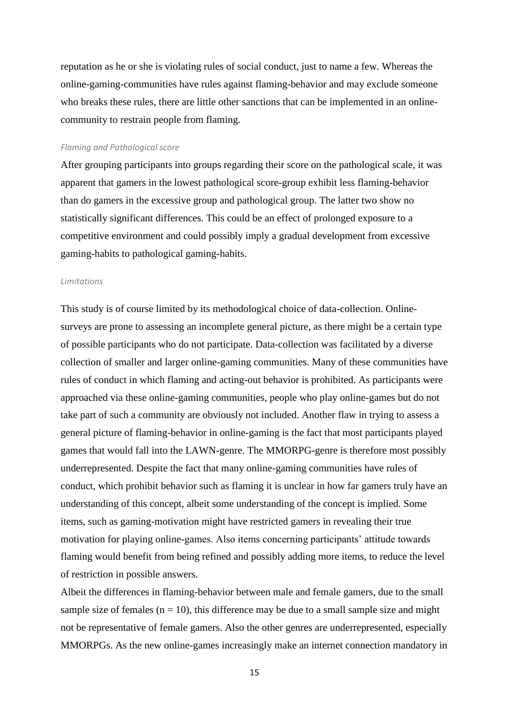reputation as he or she is violating rules of social conduct, just to name a few. Whereas the online-gaming-communities have rules against flaming-behavior and may exclude someone who breaks these rules, there are little other sanctions that can be implemented in an onlinecommunity to restrain people from flaming.

## *Flaming and Pathological score*

After grouping participants into groups regarding their score on the pathological scale, it was apparent that gamers in the lowest pathological score-group exhibit less flaming-behavior than do gamers in the excessive group and pathological group. The latter two show no statistically significant differences. This could be an effect of prolonged exposure to a competitive environment and could possibly imply a gradual development from excessive gaming-habits to pathological gaming-habits.

## *Limitations*

This study is of course limited by its methodological choice of data-collection. Onlinesurveys are prone to assessing an incomplete general picture, as there might be a certain type of possible participants who do not participate. Data-collection was facilitated by a diverse collection of smaller and larger online-gaming communities. Many of these communities have rules of conduct in which flaming and acting-out behavior is prohibited. As participants were approached via these online-gaming communities, people who play online-games but do not take part of such a community are obviously not included. Another flaw in trying to assess a general picture of flaming-behavior in online-gaming is the fact that most participants played games that would fall into the LAWN-genre. The MMORPG-genre is therefore most possibly underrepresented. Despite the fact that many online-gaming communities have rules of conduct, which prohibit behavior such as flaming it is unclear in how far gamers truly have an understanding of this concept, albeit some understanding of the concept is implied. Some items, such as gaming-motivation might have restricted gamers in revealing their true motivation for playing online-games. Also items concerning participants' attitude towards flaming would benefit from being refined and possibly adding more items, to reduce the level of restriction in possible answers.

Albeit the differences in flaming-behavior between male and female gamers, due to the small sample size of females  $(n = 10)$ , this difference may be due to a small sample size and might not be representative of female gamers. Also the other genres are underrepresented, especially MMORPGs. As the new online-games increasingly make an internet connection mandatory in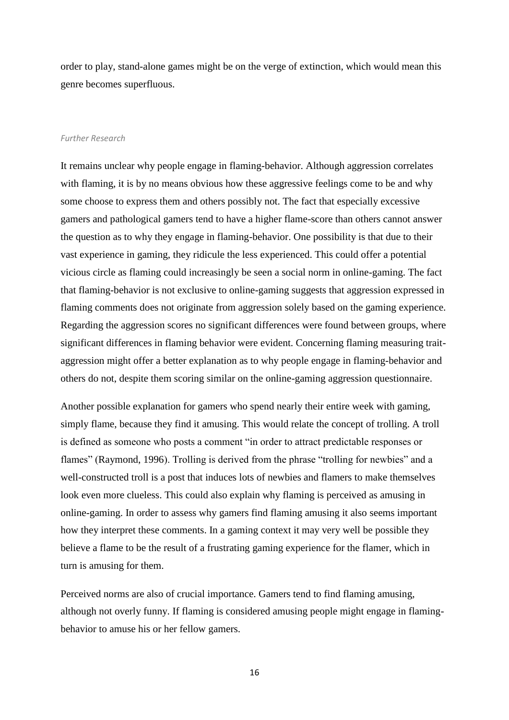order to play, stand-alone games might be on the verge of extinction, which would mean this genre becomes superfluous.

#### *Further Research*

It remains unclear why people engage in flaming-behavior. Although aggression correlates with flaming, it is by no means obvious how these aggressive feelings come to be and why some choose to express them and others possibly not. The fact that especially excessive gamers and pathological gamers tend to have a higher flame-score than others cannot answer the question as to why they engage in flaming-behavior. One possibility is that due to their vast experience in gaming, they ridicule the less experienced. This could offer a potential vicious circle as flaming could increasingly be seen a social norm in online-gaming. The fact that flaming-behavior is not exclusive to online-gaming suggests that aggression expressed in flaming comments does not originate from aggression solely based on the gaming experience. Regarding the aggression scores no significant differences were found between groups, where significant differences in flaming behavior were evident. Concerning flaming measuring traitaggression might offer a better explanation as to why people engage in flaming-behavior and others do not, despite them scoring similar on the online-gaming aggression questionnaire.

Another possible explanation for gamers who spend nearly their entire week with gaming, simply flame, because they find it amusing. This would relate the concept of trolling. A troll is defined as someone who posts a comment "in order to attract predictable responses or flames" (Raymond, 1996). Trolling is derived from the phrase "trolling for newbies" and a well-constructed troll is a post that induces lots of newbies and flamers to make themselves look even more clueless. This could also explain why flaming is perceived as amusing in online-gaming. In order to assess why gamers find flaming amusing it also seems important how they interpret these comments. In a gaming context it may very well be possible they believe a flame to be the result of a frustrating gaming experience for the flamer, which in turn is amusing for them.

Perceived norms are also of crucial importance. Gamers tend to find flaming amusing, although not overly funny. If flaming is considered amusing people might engage in flamingbehavior to amuse his or her fellow gamers.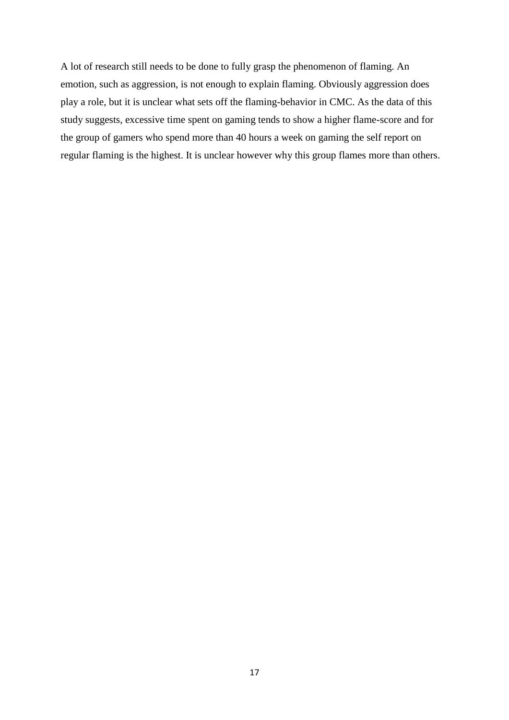A lot of research still needs to be done to fully grasp the phenomenon of flaming. An emotion, such as aggression, is not enough to explain flaming. Obviously aggression does play a role, but it is unclear what sets off the flaming-behavior in CMC. As the data of this study suggests, excessive time spent on gaming tends to show a higher flame-score and for the group of gamers who spend more than 40 hours a week on gaming the self report on regular flaming is the highest. It is unclear however why this group flames more than others.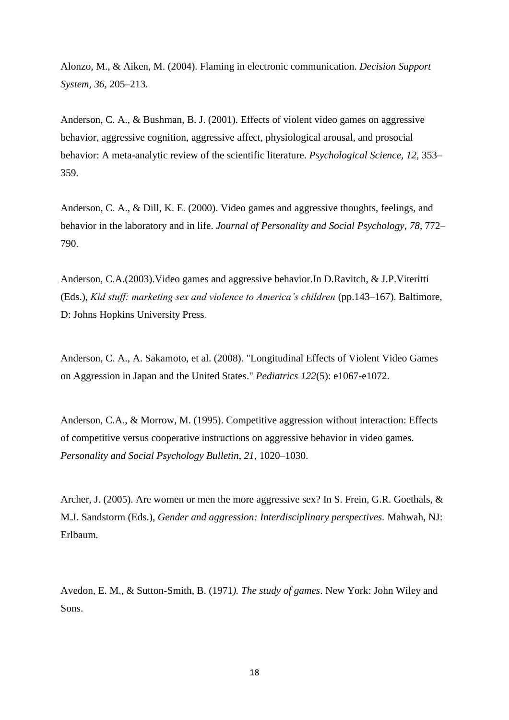Alonzo, M., & Aiken, M. (2004). Flaming in electronic communication. *Decision Support System, 36*, 205–213.

Anderson, C. A., & Bushman, B. J. (2001). Effects of violent video games on aggressive behavior, aggressive cognition, aggressive affect, physiological arousal, and prosocial behavior: A meta-analytic review of the scientific literature. *Psychological Science, 12*, 353– 359.

Anderson, C. A., & Dill, K. E. (2000). Video games and aggressive thoughts, feelings, and behavior in the laboratory and in life. *Journal of Personality and Social Psychology, 78*, 772– 790.

Anderson, C.A.(2003).Video games and aggressive behavior.In D.Ravitch, & J.P.Viteritti (Eds.), *Kid stuff: marketing sex and violence to America's children* (pp.143–167). Baltimore, D: Johns Hopkins University Press.

Anderson, C. A., A. Sakamoto, et al. (2008). "Longitudinal Effects of Violent Video Games on Aggression in Japan and the United States." *Pediatrics 122*(5): e1067-e1072.

Anderson, C.A., & Morrow, M. (1995). Competitive aggression without interaction: Effects of competitive versus cooperative instructions on aggressive behavior in video games. *Personality and Social Psychology Bulletin, 21*, 1020–1030.

Archer, J. (2005). Are women or men the more aggressive sex? In S. Frein, G.R. Goethals, & M.J. Sandstorm (Eds.), *Gender and aggression: Interdisciplinary perspectives.* Mahwah, NJ: Erlbaum*.*

Avedon, E. M., & Sutton-Smith, B. (1971*). The study of games*. New York: John Wiley and Sons.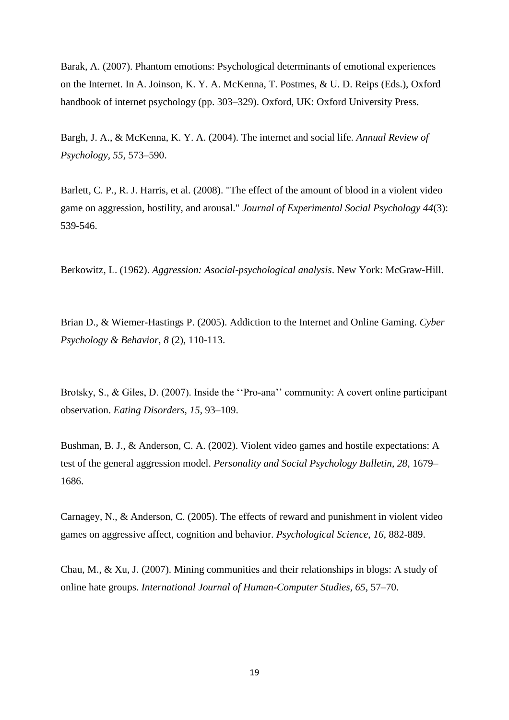Barak, A. (2007). Phantom emotions: Psychological determinants of emotional experiences on the Internet. In A. Joinson, K. Y. A. McKenna, T. Postmes, & U. D. Reips (Eds.), Oxford handbook of internet psychology (pp. 303–329). Oxford, UK: Oxford University Press.

Bargh, J. A., & McKenna, K. Y. A. (2004). The internet and social life. *Annual Review of Psychology, 55*, 573–590.

Barlett, C. P., R. J. Harris, et al. (2008). "The effect of the amount of blood in a violent video game on aggression, hostility, and arousal." *Journal of Experimental Social Psychology 44*(3): 539-546.

Berkowitz, L. (1962). *Aggression: Asocial-psychological analysis*. New York: McGraw-Hill.

Brian D., & Wiemer-Hastings P. (2005). Addiction to the Internet and Online Gaming. *Cyber Psychology & Behavior, 8* (2), 110-113.

Brotsky, S., & Giles, D. (2007). Inside the ''Pro-ana'' community: A covert online participant observation. *Eating Disorders, 15*, 93–109.

Bushman, B. J., & Anderson, C. A. (2002). Violent video games and hostile expectations: A test of the general aggression model. *Personality and Social Psychology Bulletin, 28*, 1679– 1686.

Carnagey, N., & Anderson, C. (2005). The effects of reward and punishment in violent video games on aggressive affect, cognition and behavior. *Psychological Science*, *16*, 882-889.

Chau, M., & Xu, J. (2007). Mining communities and their relationships in blogs: A study of online hate groups. *International Journal of Human-Computer Studies, 65*, 57–70.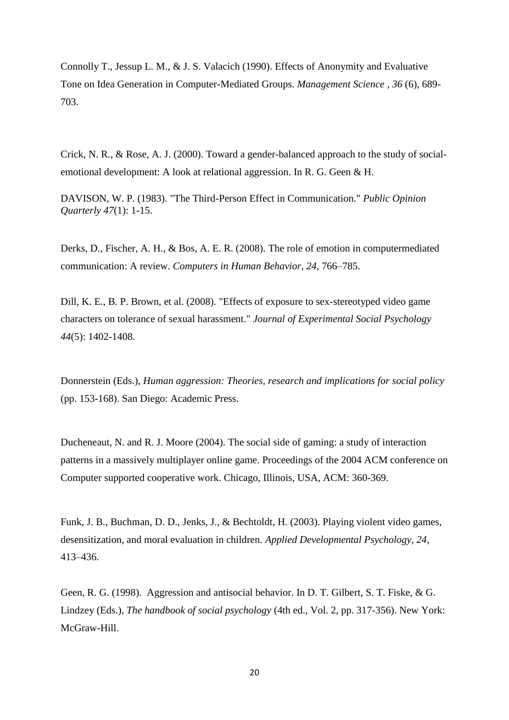Connolly T., Jessup L. M., & J. S. Valacich (1990). Effects of Anonymity and Evaluative Tone on Idea Generation in Computer-Mediated Groups. *Management Science* , *36* (6), 689- 703.

Crick, N. R., & Rose, A. J. (2000). Toward a gender-balanced approach to the study of socialemotional development: A look at relational aggression. In R. G. Geen & H.

DAVISON, W. P. (1983). "The Third-Person Effect in Communication." *Public Opinion Quarterly 47*(1): 1-15.

Derks, D., Fischer, A. H., & Bos, A. E. R. (2008). The role of emotion in computermediated communication: A review. *Computers in Human Behavior, 24*, 766–785.

Dill, K. E., B. P. Brown, et al. (2008). "Effects of exposure to sex-stereotyped video game characters on tolerance of sexual harassment." *Journal of Experimental Social Psychology 44*(5): 1402-1408.

Donnerstein (Eds.), *Human aggression: Theories, research and implications for social policy*  (pp. 153-168). San Diego: Academic Press.

Ducheneaut, N. and R. J. Moore (2004). The social side of gaming: a study of interaction patterns in a massively multiplayer online game. Proceedings of the 2004 ACM conference on Computer supported cooperative work. Chicago, Illinois, USA, ACM: 360-369.

Funk, J. B., Buchman, D. D., Jenks, J., & Bechtoldt, H. (2003). Playing violent video games, desensitization, and moral evaluation in children. *Applied Developmental Psychology, 24*, 413–436.

Geen, R. G. (1998). Aggression and antisocial behavior. In D. T. Gilbert, S. T. Fiske, & G. Lindzey (Eds.), *The handbook of social psychology* (4th ed., Vol. 2, pp. 317-356). New York: McGraw-Hill.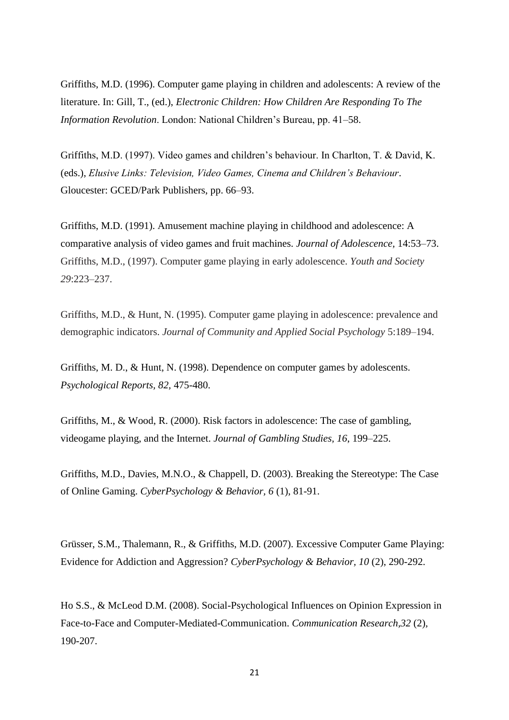Griffiths, M.D. (1996). Computer game playing in children and adolescents: A review of the literature. In: Gill, T., (ed.), *Electronic Children: How Children Are Responding To The Information Revolution*. London: National Children's Bureau, pp. 41–58.

Griffiths, M.D. (1997). Video games and children's behaviour. In Charlton, T. & David, K. (eds.), *Elusive Links: Television, Video Games, Cinema and Children's Behaviour*. Gloucester: GCED/Park Publishers, pp. 66–93.

Griffiths, M.D. (1991). Amusement machine playing in childhood and adolescence: A comparative analysis of video games and fruit machines. *Journal of Adolescence,* 14:53–73. Griffiths, M.D., (1997). Computer game playing in early adolescence. *Youth and Society 29*:223–237.

Griffiths, M.D., & Hunt, N. (1995). Computer game playing in adolescence: prevalence and demographic indicators. *Journal of Community and Applied Social Psychology* 5:189–194.

Griffiths, M. D., & Hunt, N. (1998). Dependence on computer games by adolescents. *Psychological Reports, 82,* 475-480.

Griffiths, M., & Wood, R. (2000). Risk factors in adolescence: The case of gambling, videogame playing, and the Internet. *Journal of Gambling Studies, 16*, 199–225.

Griffiths, M.D., Davies, M.N.O., & Chappell, D. (2003). Breaking the Stereotype: The Case of Online Gaming. *CyberPsychology & Behavior, 6* (1), 81-91.

Grüsser, S.M., Thalemann, R., & Griffiths, M.D. (2007). Excessive Computer Game Playing: Evidence for Addiction and Aggression? *CyberPsychology & Behavior, 10* (2), 290-292.

Ho S.S., & McLeod D.M. (2008). Social-Psychological Influences on Opinion Expression in Face-to-Face and Computer-Mediated-Communication. *Communication Research,32* (2)*,*  190-207.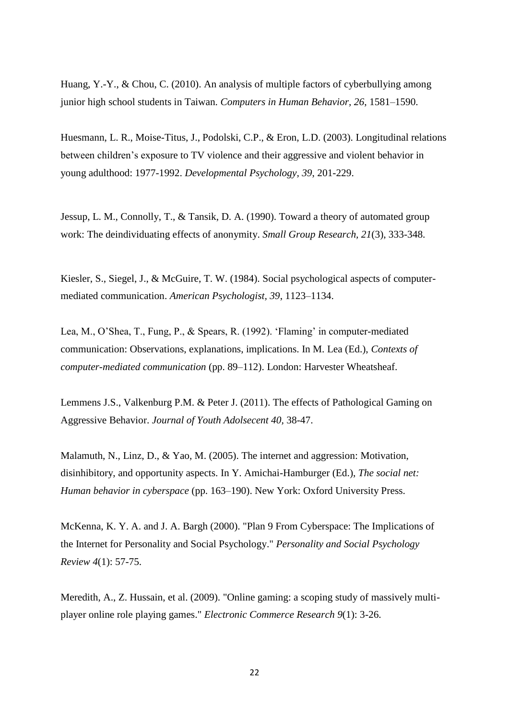Huang, Y.-Y., & Chou, C. (2010). An analysis of multiple factors of cyberbullying among junior high school students in Taiwan. *Computers in Human Behavior, 26*, 1581–1590.

Huesmann, L. R., Moise-Titus, J., Podolski, C.P., & Eron, L.D. (2003). Longitudinal relations between children's exposure to TV violence and their aggressive and violent behavior in young adulthood: 1977-1992. *Developmental Psychology, 39*, 201-229.

Jessup, L. M., Connolly, T., & Tansik, D. A. (1990). Toward a theory of automated group work: The deindividuating effects of anonymity. *Small Group Research, 21*(3), 333-348.

Kiesler, S., Siegel, J., & McGuire, T. W. (1984). Social psychological aspects of computermediated communication. *American Psychologist, 39*, 1123–1134.

Lea, M., O'Shea, T., Fung, P., & Spears, R. (1992). 'Flaming' in computer-mediated communication: Observations, explanations, implications. In M. Lea (Ed.), *Contexts of computer-mediated communication* (pp. 89–112). London: Harvester Wheatsheaf.

Lemmens J.S., Valkenburg P.M. & Peter J. (2011). The effects of Pathological Gaming on Aggressive Behavior. *Journal of Youth Adolsecent 40,* 38-47.

Malamuth, N., Linz, D., & Yao, M. (2005). The internet and aggression: Motivation, disinhibitory, and opportunity aspects. In Y. Amichai-Hamburger (Ed.), *The social net: Human behavior in cyberspace* (pp. 163–190). New York: Oxford University Press.

McKenna, K. Y. A. and J. A. Bargh (2000). "Plan 9 From Cyberspace: The Implications of the Internet for Personality and Social Psychology." *Personality and Social Psychology Review 4*(1): 57-75.

Meredith, A., Z. Hussain, et al. (2009). "Online gaming: a scoping study of massively multiplayer online role playing games." *Electronic Commerce Research 9*(1): 3-26.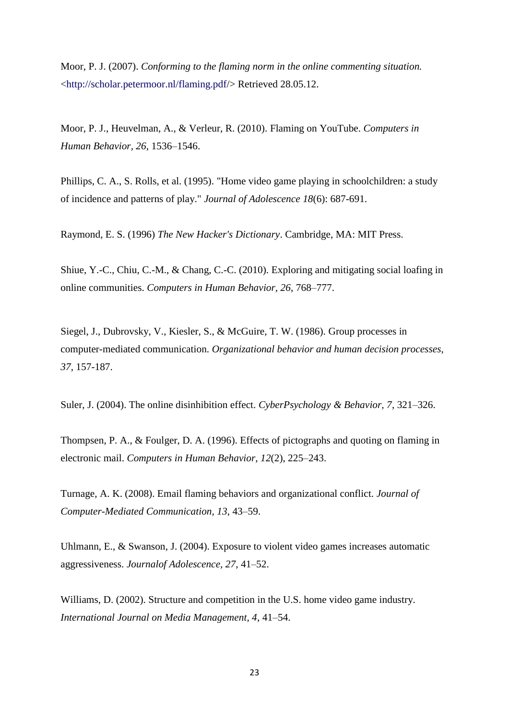Moor, P. J. (2007). *Conforming to the flaming norm in the online commenting situation.*  <http://scholar.petermoor.nl/flaming.pdf/> Retrieved 28.05.12.

Moor, P. J., Heuvelman, A., & Verleur, R. (2010). Flaming on YouTube. *Computers in Human Behavior, 26*, 1536–1546.

Phillips, C. A., S. Rolls, et al. (1995). "Home video game playing in schoolchildren: a study of incidence and patterns of play." *Journal of Adolescence 18*(6): 687-691.

Raymond, E. S. (1996) *The New Hacker's Dictionary*. Cambridge, MA: MIT Press.

Shiue, Y.-C., Chiu, C.-M., & Chang, C.-C. (2010). Exploring and mitigating social loafing in online communities. *Computers in Human Behavior, 26*, 768–777.

Siegel, J., Dubrovsky, V., Kiesler, S., & McGuire, T. W. (1986). Group processes in computer-mediated communication. *Organizational behavior and human decision processes, 37*, 157-187.

Suler, J. (2004). The online disinhibition effect. *CyberPsychology & Behavior, 7*, 321–326.

Thompsen, P. A., & Foulger, D. A. (1996). Effects of pictographs and quoting on flaming in electronic mail. *Computers in Human Behavior, 12*(2), 225–243.

Turnage, A. K. (2008). Email flaming behaviors and organizational conflict. *Journal of Computer-Mediated Communication, 13*, 43–59.

Uhlmann, E., & Swanson, J. (2004). Exposure to violent video games increases automatic aggressiveness. *Journalof Adolescence, 27*, 41–52.

Williams, D. (2002). Structure and competition in the U.S. home video game industry. *International Journal on Media Management, 4*, 41–54.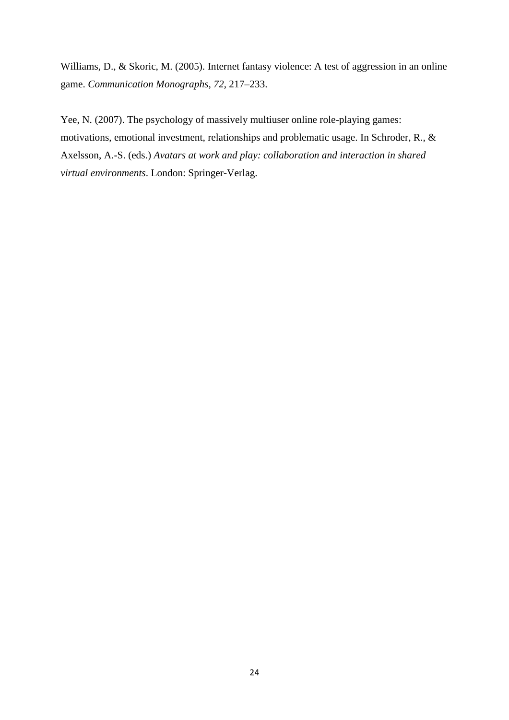Williams, D., & Skoric, M. (2005). Internet fantasy violence: A test of aggression in an online game. *Communication Monographs, 72*, 217–233.

Yee, N. (2007). The psychology of massively multiuser online role-playing games: motivations, emotional investment, relationships and problematic usage. In Schroder, R., & Axelsson, A.-S. (eds.) *Avatars at work and play: collaboration and interaction in shared virtual environments*. London: Springer-Verlag.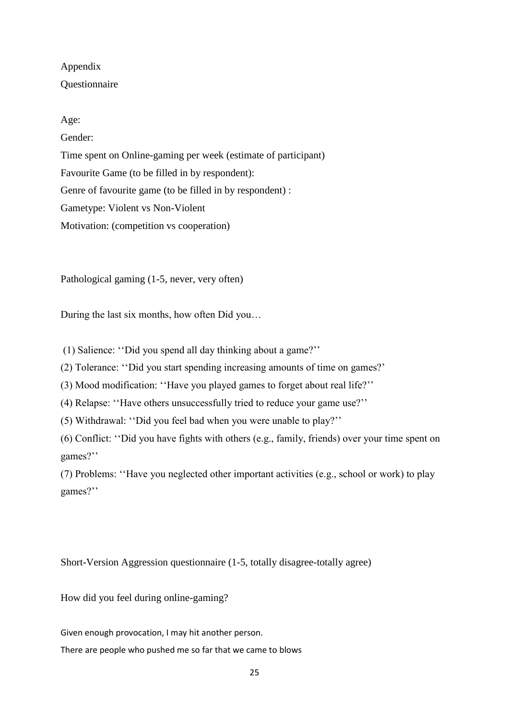## Appendix Questionnaire

## Age:

Gender:

Time spent on Online-gaming per week (estimate of participant) Favourite Game (to be filled in by respondent): Genre of favourite game (to be filled in by respondent) : Gametype: Violent vs Non-Violent Motivation: (competition vs cooperation)

Pathological gaming (1-5, never, very often)

During the last six months, how often Did you…

(1) Salience: ''Did you spend all day thinking about a game?''

(2) Tolerance: ''Did you start spending increasing amounts of time on games?'

(3) Mood modification: ''Have you played games to forget about real life?''

(4) Relapse: ''Have others unsuccessfully tried to reduce your game use?''

(5) Withdrawal: ''Did you feel bad when you were unable to play?''

(6) Conflict: ''Did you have fights with others (e.g., family, friends) over your time spent on games?''

(7) Problems: ''Have you neglected other important activities (e.g., school or work) to play games?''

Short-Version Aggression questionnaire (1-5, totally disagree-totally agree)

How did you feel during online-gaming?

Given enough provocation, I may hit another person.

There are people who pushed me so far that we came to blows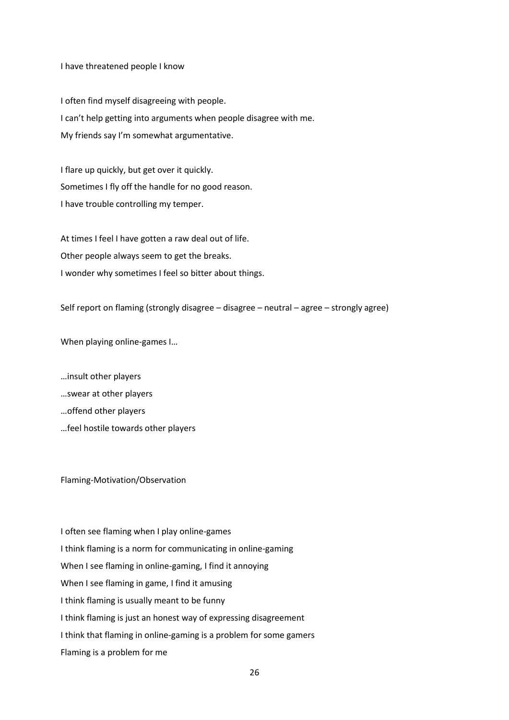I have threatened people I know

I often find myself disagreeing with people. I can't help getting into arguments when people disagree with me. My friends say I'm somewhat argumentative.

I flare up quickly, but get over it quickly. Sometimes I fly off the handle for no good reason. I have trouble controlling my temper.

At times I feel I have gotten a raw deal out of life. Other people always seem to get the breaks. I wonder why sometimes I feel so bitter about things.

Self report on flaming (strongly disagree – disagree – neutral – agree – strongly agree)

When playing online-games I…

…insult other players

…swear at other players

…offend other players

…feel hostile towards other players

Flaming-Motivation/Observation

I often see flaming when I play online-games I think flaming is a norm for communicating in online-gaming When I see flaming in online-gaming, I find it annoying When I see flaming in game, I find it amusing I think flaming is usually meant to be funny I think flaming is just an honest way of expressing disagreement I think that flaming in online-gaming is a problem for some gamers Flaming is a problem for me